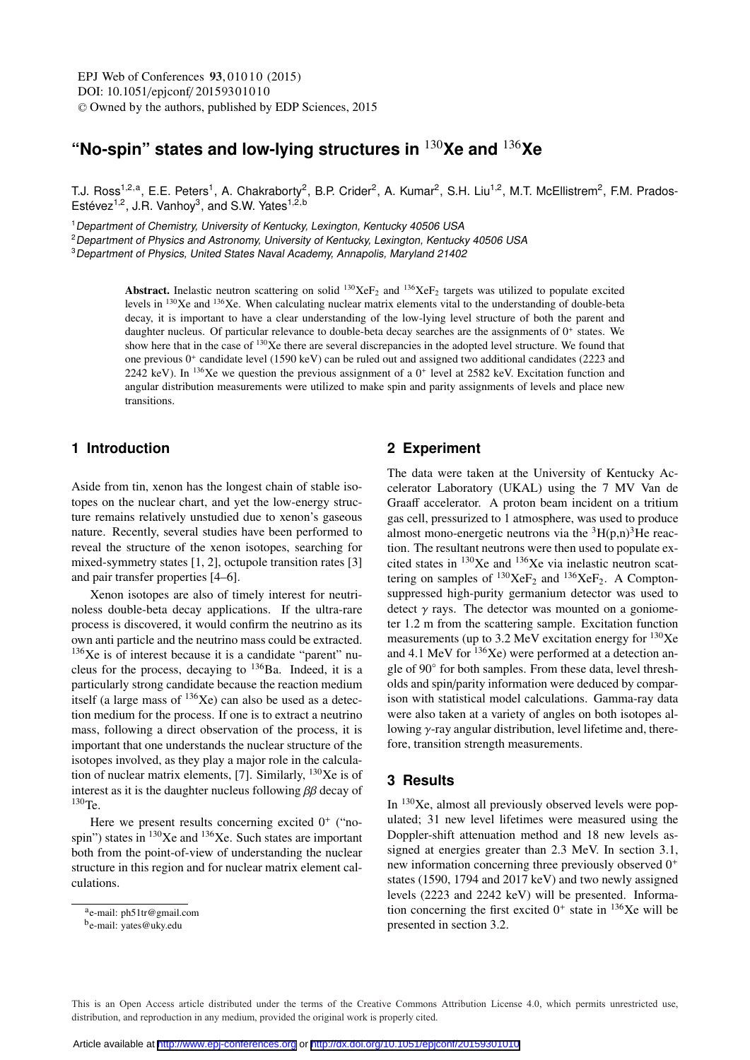# **"No-spin" states and low-lying structures in** <sup>130</sup>**Xe and** <sup>136</sup>**Xe**

T.J. Ross<sup>1,2,a</sup>, E.E. Peters<sup>1</sup>, A. Chakraborty<sup>2</sup>, B.P. Crider<sup>2</sup>, A. Kumar<sup>2</sup>, S.H. Liu<sup>1,2</sup>, M.T. McEllistrem<sup>2</sup>, F.M. Prados-Estévez<sup>1,2</sup>, J.R. Vanhoy<sup>3</sup>, and S.W. Yates<sup>1,2,b</sup>

<sup>1</sup> Department of Chemistry, University of Kentucky, Lexington, Kentucky 40506 USA

<sup>2</sup> Department of Physics and Astronomy, University of Kentucky, Lexington, Kentucky 40506 USA

<sup>3</sup>Department of Physics, United States Naval Academy, Annapolis, Maryland 21402

Abstract. Inelastic neutron scattering on solid  $^{130}XeF_2$  and  $^{136}XeF_2$  targets was utilized to populate excited levels in 130Xe and 136Xe. When calculating nuclear matrix elements vital to the understanding of double-beta decay, it is important to have a clear understanding of the low-lying level structure of both the parent and daughter nucleus. Of particular relevance to double-beta decay searches are the assignments of  $0^+$  states. We show here that in the case of <sup>130</sup>Xe there are several discrepancies in the adopted level structure. We found that one previous  $0^+$  candidate level (1590 keV) can be ruled out and assigned two additional candidates (2223 and 2242 keV). In <sup>136</sup>Xe we question the previous assignment of a  $0^+$  level at 2582 keV. Excitation function and angular distribution measurements were utilized to make spin and parity assignments of levels and place new transitions.

# **1 Introduction**

Aside from tin, xenon has the longest chain of stable isotopes on the nuclear chart, and yet the low-energy structure remains relatively unstudied due to xenon's gaseous nature. Recently, several studies have been performed to reveal the structure of the xenon isotopes, searching for mixed-symmetry states [1, 2], octupole transition rates [3] and pair transfer properties [4–6].

Xenon isotopes are also of timely interest for neutrinoless double-beta decay applications. If the ultra-rare process is discovered, it would confirm the neutrino as its own anti particle and the neutrino mass could be extracted.  $136Xe$  is of interest because it is a candidate "parent" nucleus for the process, decaying to <sup>136</sup>Ba. Indeed, it is a particularly strong candidate because the reaction medium itself (a large mass of  $^{136}$ Xe) can also be used as a detection medium for the process. If one is to extract a neutrino mass, following a direct observation of the process, it is important that one understands the nuclear structure of the isotopes involved, as they play a major role in the calculation of nuclear matrix elements, [7]. Similarly,  $^{130}Xe$  is of interest as it is the daughter nucleus following  $\beta\beta$  decay of 130Te.

Here we present results concerning excited  $0^+$  ("nospin") states in  $^{130}$ Xe and  $^{136}$ Xe. Such states are important both from the point-of-view of understanding the nuclear structure in this region and for nuclear matrix element calculations.

#### **2 Experiment**

The data were taken at the University of Kentucky Accelerator Laboratory (UKAL) using the 7 MV Van de Graaff accelerator. A proton beam incident on a tritium gas cell, pressurized to 1 atmosphere, was used to produce almost mono-energetic neutrons via the  ${}^{3}H(p,n){}^{3}He$  reaction. The resultant neutrons were then used to populate excited states in  $^{130}Xe$  and  $^{136}Xe$  via inelastic neutron scattering on samples of  $^{130}\text{XeF}_2$  and  $^{136}\text{XeF}_2$ . A Comptonsuppressed high-purity germanium detector was used to detect  $\gamma$  rays. The detector was mounted on a goniometer 1.2 m from the scattering sample. Excitation function measurements (up to 3.2 MeV excitation energy for  $^{130}Xe$ and 4.1 MeV for  $136Xe$ ) were performed at a detection angle of 90◦ for both samples. From these data, level thresholds and spin/parity information were deduced by comparison with statistical model calculations. Gamma-ray data were also taken at a variety of angles on both isotopes allowing γ-ray angular distribution, level lifetime and, therefore, transition strength measurements.

### **3 Results**

In 130Xe, almost all previously observed levels were populated; 31 new level lifetimes were measured using the Doppler-shift attenuation method and 18 new levels assigned at energies greater than 2.3 MeV. In section 3.1, new information concerning three previously observed 0<sup>+</sup> states (1590, 1794 and 2017 keV) and two newly assigned levels (2223 and 2242 keV) will be presented. Information concerning the first excited  $0^+$  state in  $^{136}$ Xe will be presented in section 3.2.

This is an Open Access article distributed under the terms of the Creative Commons Attribution License 4.0, which permits unrestricted use. distribution, and reproduction in any medium, provided the original work is properly cited.

ae-mail: ph51tr@gmail.com

be-mail: yates@uky.edu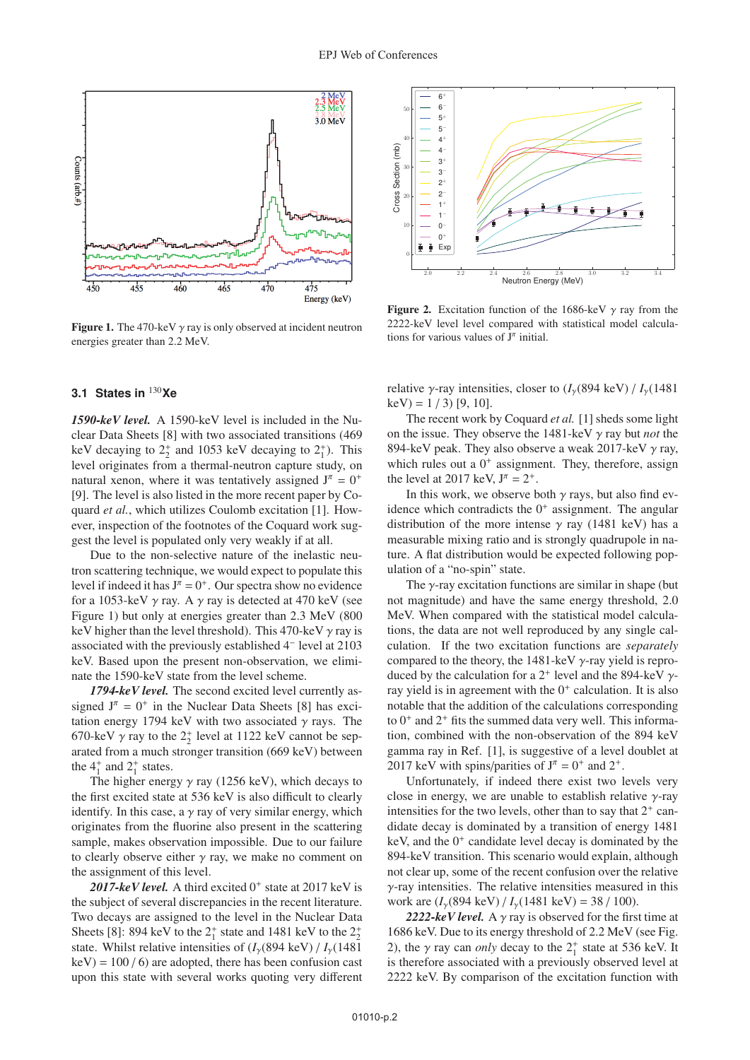

**Figure 1.** The 470-keV  $\gamma$  ray is only observed at incident neutron energies greater than 2.2 MeV.

### **3.1 States in** <sup>130</sup>**Xe**

*1590-keV level.* A 1590-keV level is included in the Nuclear Data Sheets [8] with two associated transitions (469 keV decaying to  $2^+_2$  and 1053 keV decaying to  $2^+_1$ ). This level originates from a thermal-neutron capture study, on natural xenon, where it was tentatively assigned  $J^{\pi} = 0^{+}$ [9]. The level is also listed in the more recent paper by Coquard *et al.*, which utilizes Coulomb excitation [1]. However, inspection of the footnotes of the Coquard work suggest the level is populated only very weakly if at all.

Due to the non-selective nature of the inelastic neutron scattering technique, we would expect to populate this level if indeed it has  $J^{\pi} = 0^{+}$ . Our spectra show no evidence for a 1053-keV  $\gamma$  ray. A  $\gamma$  ray is detected at 470 keV (see Figure 1) but only at energies greater than 2.3 MeV (800 keV higher than the level threshold). This 470-keV  $\gamma$  ray is associated with the previously established 4<sup>−</sup> level at 2103 keV. Based upon the present non-observation, we eliminate the 1590-keV state from the level scheme.

*1794-keV level.* The second excited level currently assigned  $J^{\pi} = 0^{+}$  in the Nuclear Data Sheets [8] has excitation energy 1794 keV with two associated  $\gamma$  rays. The 670-keV  $\gamma$  ray to the  $2^+_2$  level at 1122 keV cannot be separated from a much stronger transition (669 keV) between the  $4^{\dagger}$  and  $2^{\dagger}$  states.

The higher energy  $\gamma$  ray (1256 keV), which decays to the first excited state at 536 keV is also difficult to clearly identify. In this case, a  $\gamma$  ray of very similar energy, which originates from the fluorine also present in the scattering sample, makes observation impossible. Due to our failure to clearly observe either  $\gamma$  ray, we make no comment on the assignment of this level.

2017- $keV$  *level.* A third excited  $0<sup>+</sup>$  state at 2017 keV is the subject of several discrepancies in the recent literature. Two decays are assigned to the level in the Nuclear Data Sheets [8]: 894 keV to the  $2^+_1$  state and 1481 keV to the  $2^+_2$ state. Whilst relative intensities of  $(I_{\gamma}(894 \text{ keV}) / I_{\gamma}(1481 \text{ keV}))$  $keV$ ) = 100 / 6) are adopted, there has been confusion cast upon this state with several works quoting very different



Figure 2. Excitation function of the 1686-keV  $\gamma$  ray from the 2222-keV level level compared with statistical model calculations for various values of  $J^{\pi}$  initial.

relative  $\gamma$ -ray intensities, closer to  $(I_{\gamma}(894 \text{ keV}) / I_{\gamma}(1481 \text{ keV}))$  $keV$ ) = 1 / 3) [9, 10].

The recent work by Coquard *et al.* [1] sheds some light on the issue. They observe the 1481-keV γ ray but *not* the 894-keV peak. They also observe a weak 2017-keV  $\gamma$  ray, which rules out a  $0^+$  assignment. They, therefore, assign the level at 2017 keV,  $J^{\pi} = 2^{+}$ .

In this work, we observe both  $\gamma$  rays, but also find evidence which contradicts the  $0^+$  assignment. The angular distribution of the more intense  $\gamma$  ray (1481 keV) has a measurable mixing ratio and is strongly quadrupole in nature. A flat distribution would be expected following population of a "no-spin" state.

The  $\gamma$ -ray excitation functions are similar in shape (but not magnitude) and have the same energy threshold, 2.0 MeV. When compared with the statistical model calculations, the data are not well reproduced by any single calculation. If the two excitation functions are *separately* compared to the theory, the 1481-keV  $\gamma$ -ray yield is reproduced by the calculation for a  $2^+$  level and the 894-keV  $\gamma$ ray yield is in agreement with the  $0^+$  calculation. It is also notable that the addition of the calculations corresponding to  $0^+$  and  $2^+$  fits the summed data very well. This information, combined with the non-observation of the 894 keV gamma ray in Ref. [1], is suggestive of a level doublet at 2017 keV with spins/parities of  $J^{\pi} = 0^{+}$  and  $2^{+}$ .

Unfortunately, if indeed there exist two levels very close in energy, we are unable to establish relative  $\gamma$ -ray intensities for the two levels, other than to say that  $2^+$  candidate decay is dominated by a transition of energy 1481 keV, and the  $0^+$  candidate level decay is dominated by the 894-keV transition. This scenario would explain, although not clear up, some of the recent confusion over the relative  $\gamma$ -ray intensities. The relative intensities measured in this work are  $(I_v(894 \text{ keV}) / I_v(1481 \text{ keV}) = 38 / 100$ ).

2222-keV level. A  $\gamma$  ray is observed for the first time at 1686 keV. Due to its energy threshold of 2.2 MeV (see Fig. 2), the  $\gamma$  ray can *only* decay to the  $2^+_1$  state at 536 keV. It is therefore associated with a previously observed level at 2222 keV. By comparison of the excitation function with